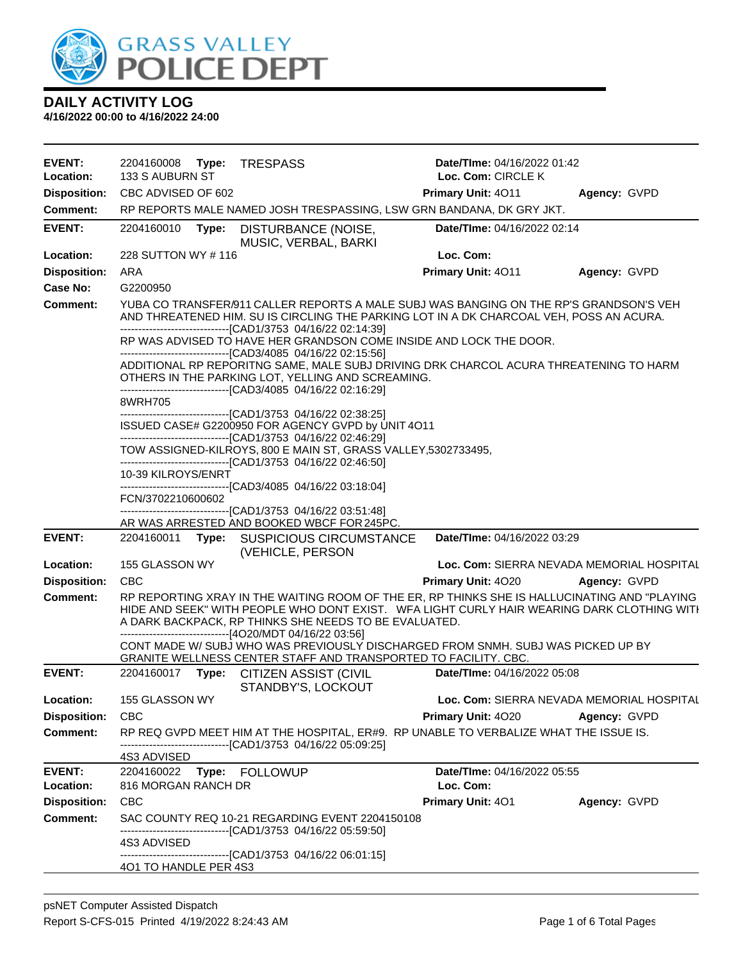

| <b>EVENT:</b>              | 2204160008 Type:                                                                                                                                                                                                                                                                                                                                                                         | <b>TRESPASS</b>                                                                                                                                                                                                                                                                                                  | <b>Date/Time: 04/16/2022 01:42</b>       |                                           |  |
|----------------------------|------------------------------------------------------------------------------------------------------------------------------------------------------------------------------------------------------------------------------------------------------------------------------------------------------------------------------------------------------------------------------------------|------------------------------------------------------------------------------------------------------------------------------------------------------------------------------------------------------------------------------------------------------------------------------------------------------------------|------------------------------------------|-------------------------------------------|--|
| Location:                  | 133 S AUBURN ST                                                                                                                                                                                                                                                                                                                                                                          |                                                                                                                                                                                                                                                                                                                  | Loc. Com: CIRCLE K                       |                                           |  |
| <b>Disposition:</b>        | CBC ADVISED OF 602                                                                                                                                                                                                                                                                                                                                                                       |                                                                                                                                                                                                                                                                                                                  | Primary Unit: 4011                       | Agency: GVPD                              |  |
| <b>Comment:</b>            |                                                                                                                                                                                                                                                                                                                                                                                          | RP REPORTS MALE NAMED JOSH TRESPASSING, LSW GRN BANDANA, DK GRY JKT.                                                                                                                                                                                                                                             |                                          |                                           |  |
| <b>EVENT:</b>              | 2204160010<br>Type:                                                                                                                                                                                                                                                                                                                                                                      | DISTURBANCE (NOISE,<br>MUSIC, VERBAL, BARKI                                                                                                                                                                                                                                                                      | Date/TIme: 04/16/2022 02:14              |                                           |  |
| Location:                  | 228 SUTTON WY # 116                                                                                                                                                                                                                                                                                                                                                                      |                                                                                                                                                                                                                                                                                                                  | Loc. Com:                                |                                           |  |
| <b>Disposition:</b>        | <b>ARA</b>                                                                                                                                                                                                                                                                                                                                                                               |                                                                                                                                                                                                                                                                                                                  | Primary Unit: 4011                       | Agency: GVPD                              |  |
| <b>Case No:</b>            | G2200950                                                                                                                                                                                                                                                                                                                                                                                 |                                                                                                                                                                                                                                                                                                                  |                                          |                                           |  |
| <b>Comment:</b>            | YUBA CO TRANSFER/911 CALLER REPORTS A MALE SUBJ WAS BANGING ON THE RP'S GRANDSON'S VEH<br>AND THREATENED HIM. SU IS CIRCLING THE PARKING LOT IN A DK CHARCOAL VEH, POSS AN ACURA.<br>--------------------------------[CAD1/3753 04/16/22 02:14:39]<br>RP WAS ADVISED TO HAVE HER GRANDSON COME INSIDE AND LOCK THE DOOR.<br>-------------------------------[CAD3/4085 04/16/22 02:15:56] |                                                                                                                                                                                                                                                                                                                  |                                          |                                           |  |
|                            |                                                                                                                                                                                                                                                                                                                                                                                          |                                                                                                                                                                                                                                                                                                                  |                                          |                                           |  |
|                            |                                                                                                                                                                                                                                                                                                                                                                                          | ADDITIONAL RP REPORITNG SAME, MALE SUBJ DRIVING DRK CHARCOL ACURA THREATENING TO HARM<br>OTHERS IN THE PARKING LOT, YELLING AND SCREAMING.<br>---------------------------------[CAD3/4085 04/16/22 02:16:29]                                                                                                     |                                          |                                           |  |
|                            | 8WRH705                                                                                                                                                                                                                                                                                                                                                                                  | ---------------------------------[CAD1/3753 04/16/22 02:38:25]                                                                                                                                                                                                                                                   |                                          |                                           |  |
|                            |                                                                                                                                                                                                                                                                                                                                                                                          | ISSUED CASE# G2200950 FOR AGENCY GVPD by UNIT 4O11<br>----------------------------------[CAD1/3753 04/16/22 02:46:29]                                                                                                                                                                                            |                                          |                                           |  |
|                            |                                                                                                                                                                                                                                                                                                                                                                                          | TOW ASSIGNED-KILROYS, 800 E MAIN ST, GRASS VALLEY, 5302733495,<br>--------------------------------[CAD1/3753 04/16/22 02:46:50]                                                                                                                                                                                  |                                          |                                           |  |
|                            | 10-39 KILROYS/ENRT<br>--------------------------------[CAD3/4085 04/16/22 03:18:04]                                                                                                                                                                                                                                                                                                      |                                                                                                                                                                                                                                                                                                                  |                                          |                                           |  |
|                            | FCN/3702210600602                                                                                                                                                                                                                                                                                                                                                                        | -------------------------------[CAD1/3753 04/16/22 03:51:48]                                                                                                                                                                                                                                                     |                                          |                                           |  |
|                            |                                                                                                                                                                                                                                                                                                                                                                                          | AR WAS ARRESTED AND BOOKED WBCF FOR 245PC.                                                                                                                                                                                                                                                                       |                                          |                                           |  |
| <b>EVENT:</b>              |                                                                                                                                                                                                                                                                                                                                                                                          | 2204160011 Type: SUSPICIOUS CIRCUMSTANCE<br>(VEHICLE, PERSON                                                                                                                                                                                                                                                     | Date/TIme: 04/16/2022 03:29              |                                           |  |
| Location:                  | 155 GLASSON WY                                                                                                                                                                                                                                                                                                                                                                           |                                                                                                                                                                                                                                                                                                                  |                                          | Loc. Com: SIERRA NEVADA MEMORIAL HOSPITAL |  |
| <b>Disposition:</b>        | <b>CBC</b>                                                                                                                                                                                                                                                                                                                                                                               |                                                                                                                                                                                                                                                                                                                  | Primary Unit: 4020                       | Agency: GVPD                              |  |
| <b>Comment:</b>            |                                                                                                                                                                                                                                                                                                                                                                                          | RP REPORTING XRAY IN THE WAITING ROOM OF THE ER, RP THINKS SHE IS HALLUCINATING AND "PLAYING<br>HIDE AND SEEK" WITH PEOPLE WHO DONT EXIST. WFA LIGHT CURLY HAIR WEARING DARK CLOTHING WITH<br>A DARK BACKPACK, RP THINKS SHE NEEDS TO BE EVALUATED.<br>--------------------------------[4O20/MDT 04/16/22 03:56] |                                          |                                           |  |
|                            |                                                                                                                                                                                                                                                                                                                                                                                          | CONT MADE W/ SUBJ WHO WAS PREVIOUSLY DISCHARGED FROM SNMH. SUBJ WAS PICKED UP BY<br>GRANITE WELLNESS CENTER STAFF AND TRANSPORTED TO FACILITY. CBC.                                                                                                                                                              |                                          |                                           |  |
| <b>EVENT:</b>              | 2204160017                                                                                                                                                                                                                                                                                                                                                                               | Type: CITIZEN ASSIST (CIVIL<br>STANDBY'S, LOCKOUT                                                                                                                                                                                                                                                                | Date/TIme: 04/16/2022 05:08              |                                           |  |
| Location:                  | 155 GLASSON WY                                                                                                                                                                                                                                                                                                                                                                           |                                                                                                                                                                                                                                                                                                                  |                                          | Loc. Com: SIERRA NEVADA MEMORIAL HOSPITAL |  |
| <b>Disposition:</b>        | <b>CBC</b>                                                                                                                                                                                                                                                                                                                                                                               |                                                                                                                                                                                                                                                                                                                  | Primary Unit: 4020                       | Agency: GVPD                              |  |
| <b>Comment:</b>            |                                                                                                                                                                                                                                                                                                                                                                                          | RP REQ GVPD MEET HIM AT THE HOSPITAL, ER#9. RP UNABLE TO VERBALIZE WHAT THE ISSUE IS.<br>-------------------------------[CAD1/3753 04/16/22 05:09:25]                                                                                                                                                            |                                          |                                           |  |
|                            | 4S3 ADVISED                                                                                                                                                                                                                                                                                                                                                                              |                                                                                                                                                                                                                                                                                                                  |                                          |                                           |  |
| <b>EVENT:</b><br>Location: | 2204160022 Type: FOLLOWUP<br>816 MORGAN RANCH DR                                                                                                                                                                                                                                                                                                                                         |                                                                                                                                                                                                                                                                                                                  | Date/TIme: 04/16/2022 05:55<br>Loc. Com: |                                           |  |
| <b>Disposition:</b>        | <b>CBC</b>                                                                                                                                                                                                                                                                                                                                                                               |                                                                                                                                                                                                                                                                                                                  | <b>Primary Unit: 401</b>                 | Agency: GVPD                              |  |
| <b>Comment:</b>            |                                                                                                                                                                                                                                                                                                                                                                                          | SAC COUNTY REQ 10-21 REGARDING EVENT 2204150108                                                                                                                                                                                                                                                                  |                                          |                                           |  |
|                            |                                                                                                                                                                                                                                                                                                                                                                                          | -------------------------[CAD1/3753_04/16/22_05:59:50]                                                                                                                                                                                                                                                           |                                          |                                           |  |
|                            | 4S3 ADVISED<br>401 TO HANDLE PER 4S3                                                                                                                                                                                                                                                                                                                                                     | --------------------------------[CAD1/3753 04/16/22 06:01:15]                                                                                                                                                                                                                                                    |                                          |                                           |  |
|                            |                                                                                                                                                                                                                                                                                                                                                                                          |                                                                                                                                                                                                                                                                                                                  |                                          |                                           |  |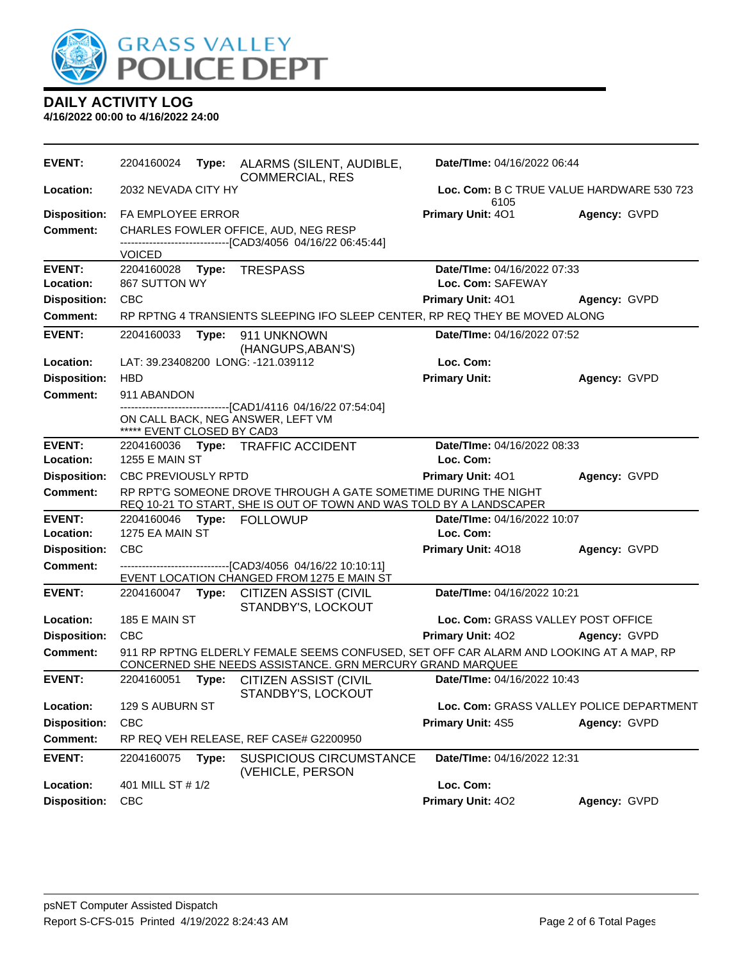

**DAILY ACTIVITY LOG 4/16/2022 00:00 to 4/16/2022 24:00**

| <b>EVENT:</b>              | 2204160024                                                                                                                             | Type: | ALARMS (SILENT, AUDIBLE,<br><b>COMMERCIAL, RES</b>                                                                                                  | Date/TIme: 04/16/2022 06:44                      |              |  |
|----------------------------|----------------------------------------------------------------------------------------------------------------------------------------|-------|-----------------------------------------------------------------------------------------------------------------------------------------------------|--------------------------------------------------|--------------|--|
| <b>Location:</b>           | 2032 NEVADA CITY HY<br>Loc. Com: B C TRUE VALUE HARDWARE 530 723<br>6105                                                               |       |                                                                                                                                                     |                                                  |              |  |
| <b>Disposition:</b>        | <b>FA EMPLOYEE ERROR</b>                                                                                                               |       | Primary Unit: 401                                                                                                                                   | Agency: GVPD                                     |              |  |
| <b>Comment:</b>            | CHARLES FOWLER OFFICE, AUD, NEG RESP                                                                                                   |       |                                                                                                                                                     |                                                  |              |  |
|                            | <b>VOICED</b>                                                                                                                          |       | -------------------------------[CAD3/4056 04/16/22 06:45:44]                                                                                        |                                                  |              |  |
| <b>EVENT:</b><br>Location: | 2204160028<br>867 SUTTON WY                                                                                                            | Type: | <b>TRESPASS</b>                                                                                                                                     | Date/TIme: 04/16/2022 07:33<br>Loc. Com: SAFEWAY |              |  |
| <b>Disposition:</b>        | <b>CBC</b>                                                                                                                             |       |                                                                                                                                                     | Primary Unit: 401                                | Agency: GVPD |  |
| <b>Comment:</b>            |                                                                                                                                        |       | RP RPTNG 4 TRANSIENTS SLEEPING IFO SLEEP CENTER, RP REQ THEY BE MOVED ALONG                                                                         |                                                  |              |  |
| <b>EVENT:</b>              | 2204160033                                                                                                                             | Type: | 911 UNKNOWN<br>(HANGUPS, ABAN'S)                                                                                                                    | Date/TIme: 04/16/2022 07:52                      |              |  |
| Location:                  |                                                                                                                                        |       | LAT: 39.23408200 LONG: -121.039112                                                                                                                  | Loc. Com:                                        |              |  |
| <b>Disposition:</b>        | <b>HBD</b>                                                                                                                             |       |                                                                                                                                                     | <b>Primary Unit:</b>                             | Agency: GVPD |  |
| Comment:                   | 911 ABANDON                                                                                                                            |       |                                                                                                                                                     |                                                  |              |  |
|                            | ***** EVENT CLOSED BY CAD3                                                                                                             |       | ------------------------[CAD1/4116 04/16/22 07:54:04]<br>ON CALL BACK, NEG ANSWER, LEFT VM                                                          |                                                  |              |  |
| <b>EVENT:</b>              | 2204160036                                                                                                                             |       | Type: TRAFFIC ACCIDENT                                                                                                                              | Date/TIme: 04/16/2022 08:33                      |              |  |
| Location:                  | <b>1255 E MAIN ST</b>                                                                                                                  |       |                                                                                                                                                     | Loc. Com:                                        |              |  |
| <b>Disposition:</b>        | <b>CBC PREVIOUSLY RPTD</b><br>Primary Unit: 401<br>Agency: GVPD                                                                        |       |                                                                                                                                                     |                                                  |              |  |
| <b>Comment:</b>            | RP RPT'G SOMEONE DROVE THROUGH A GATE SOMETIME DURING THE NIGHT<br>REQ 10-21 TO START, SHE IS OUT OF TOWN AND WAS TOLD BY A LANDSCAPER |       |                                                                                                                                                     |                                                  |              |  |
| <b>EVENT:</b><br>Location: | 2204160046<br>1275 EA MAIN ST                                                                                                          |       | Type: FOLLOWUP                                                                                                                                      | Date/TIme: 04/16/2022 10:07<br>Loc. Com:         |              |  |
| <b>Disposition:</b>        | <b>CBC</b>                                                                                                                             |       |                                                                                                                                                     | Primary Unit: 4018                               | Agency: GVPD |  |
| <b>Comment:</b>            |                                                                                                                                        |       | -------------------------------[CAD3/4056 04/16/22 10:10:11]                                                                                        |                                                  |              |  |
|                            |                                                                                                                                        |       | EVENT LOCATION CHANGED FROM 1275 E MAIN ST                                                                                                          |                                                  |              |  |
| <b>EVENT:</b>              | 2204160047 Type:                                                                                                                       |       | <b>CITIZEN ASSIST (CIVIL</b><br>STANDBY'S, LOCKOUT                                                                                                  | Date/TIme: 04/16/2022 10:21                      |              |  |
| Location:                  | 185 E MAIN ST                                                                                                                          |       |                                                                                                                                                     | Loc. Com: GRASS VALLEY POST OFFICE               |              |  |
| <b>Disposition:</b>        | <b>CBC</b>                                                                                                                             |       |                                                                                                                                                     | <b>Primary Unit: 402</b>                         | Agency: GVPD |  |
| <b>Comment:</b>            |                                                                                                                                        |       | 911 RP RPTNG ELDERLY FEMALE SEEMS CONFUSED, SET OFF CAR ALARM AND LOOKING AT A MAP, RP<br>CONCERNED SHE NEEDS ASSISTANCE. GRN MERCURY GRAND MARQUEE |                                                  |              |  |
| <b>EVENT:</b>              | 2204160051                                                                                                                             | Type: | <b>CITIZEN ASSIST (CIVIL</b><br>STANDBY'S, LOCKOUT                                                                                                  | Date/TIme: 04/16/2022 10:43                      |              |  |
| Location:                  | 129 S AUBURN ST                                                                                                                        |       |                                                                                                                                                     | Loc. Com: GRASS VALLEY POLICE DEPARTMENT         |              |  |
| <b>Disposition:</b>        | <b>CBC</b>                                                                                                                             |       |                                                                                                                                                     | Primary Unit: 4S5                                | Agency: GVPD |  |
| Comment:                   |                                                                                                                                        |       | RP REQ VEH RELEASE, REF CASE# G2200950                                                                                                              |                                                  |              |  |
| <b>EVENT:</b>              | 2204160075                                                                                                                             | Type: | <b>SUSPICIOUS CIRCUMSTANCE</b><br>(VEHICLE, PERSON                                                                                                  | Date/TIme: 04/16/2022 12:31                      |              |  |
| Location:                  | 401 MILL ST # 1/2                                                                                                                      |       |                                                                                                                                                     | Loc. Com:                                        |              |  |
| <b>Disposition:</b>        | <b>CBC</b>                                                                                                                             |       |                                                                                                                                                     | Primary Unit: 402                                | Agency: GVPD |  |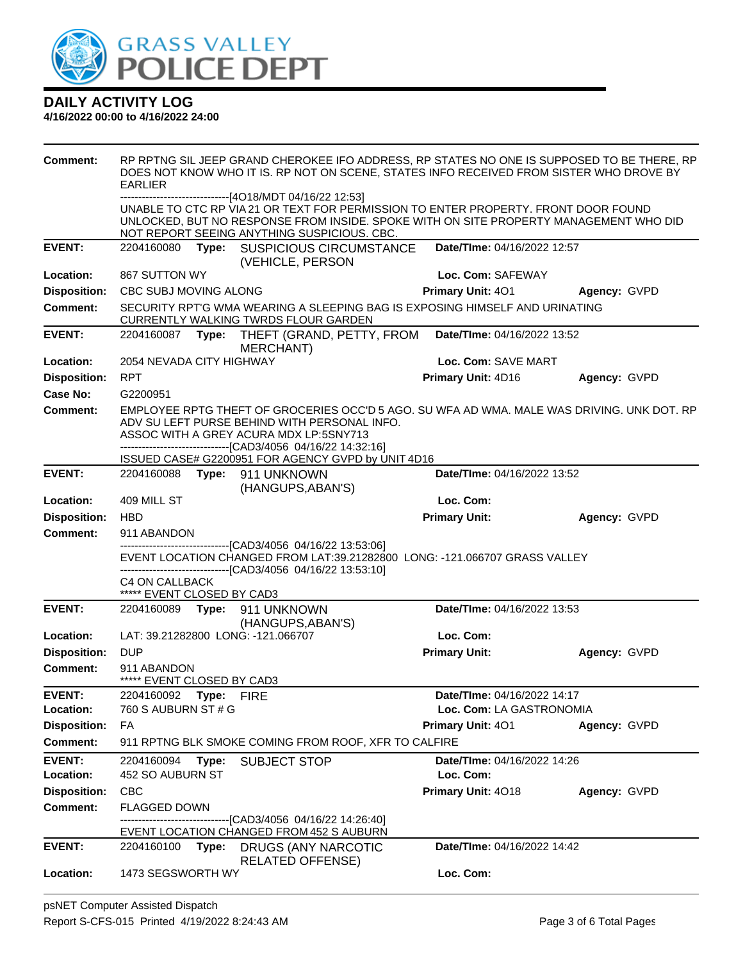

| <b>Comment:</b>     | RP RPTNG SIL JEEP GRAND CHEROKEE IFO ADDRESS, RP STATES NO ONE IS SUPPOSED TO BE THERE, RP<br>DOES NOT KNOW WHO IT IS. RP NOT ON SCENE, STATES INFO RECEIVED FROM SISTER WHO DROVE BY<br><b>EARLIER</b><br>-------------------------------[4O18/MDT 04/16/22 12:53] |  |                                                                                                                                                                                                                            |                             |              |  |
|---------------------|---------------------------------------------------------------------------------------------------------------------------------------------------------------------------------------------------------------------------------------------------------------------|--|----------------------------------------------------------------------------------------------------------------------------------------------------------------------------------------------------------------------------|-----------------------------|--------------|--|
|                     |                                                                                                                                                                                                                                                                     |  | UNABLE TO CTC RP VIA 21 OR TEXT FOR PERMISSION TO ENTER PROPERTY. FRONT DOOR FOUND<br>UNLOCKED, BUT NO RESPONSE FROM INSIDE. SPOKE WITH ON SITE PROPERTY MANAGEMENT WHO DID<br>NOT REPORT SEEING ANYTHING SUSPICIOUS. CBC. |                             |              |  |
| <b>EVENT:</b>       |                                                                                                                                                                                                                                                                     |  | 2204160080 Type: SUSPICIOUS CIRCUMSTANCE<br>(VEHICLE, PERSON                                                                                                                                                               | Date/TIme: 04/16/2022 12:57 |              |  |
| Location:           | 867 SUTTON WY                                                                                                                                                                                                                                                       |  |                                                                                                                                                                                                                            | Loc. Com: SAFEWAY           |              |  |
| <b>Disposition:</b> | CBC SUBJ MOVING ALONG                                                                                                                                                                                                                                               |  |                                                                                                                                                                                                                            | Primary Unit: 401           | Agency: GVPD |  |
| Comment:            |                                                                                                                                                                                                                                                                     |  | SECURITY RPT'G WMA WEARING A SLEEPING BAG IS EXPOSING HIMSELF AND URINATING<br>CURRENTLY WALKING TWRDS FLOUR GARDEN                                                                                                        |                             |              |  |
| <b>EVENT:</b>       |                                                                                                                                                                                                                                                                     |  | 2204160087 Type: THEFT (GRAND, PETTY, FROM<br><b>MERCHANT)</b>                                                                                                                                                             | Date/TIme: 04/16/2022 13:52 |              |  |
| Location:           | 2054 NEVADA CITY HIGHWAY                                                                                                                                                                                                                                            |  |                                                                                                                                                                                                                            | Loc. Com: SAVE MART         |              |  |
| <b>Disposition:</b> | <b>RPT</b>                                                                                                                                                                                                                                                          |  |                                                                                                                                                                                                                            | Primary Unit: 4D16          | Agency: GVPD |  |
| Case No:            | G2200951                                                                                                                                                                                                                                                            |  |                                                                                                                                                                                                                            |                             |              |  |
| <b>Comment:</b>     | EMPLOYEE RPTG THEFT OF GROCERIES OCC'D 5 AGO. SU WFA AD WMA. MALE WAS DRIVING. UNK DOT. RP<br>ADV SU LEFT PURSE BEHIND WITH PERSONAL INFO.<br>ASSOC WITH A GREY ACURA MDX LP:5SNY713<br>--------------------------------[CAD3/4056 04/16/22 14:32:16]               |  |                                                                                                                                                                                                                            |                             |              |  |
|                     |                                                                                                                                                                                                                                                                     |  | ISSUED CASE# G2200951 FOR AGENCY GVPD by UNIT 4D16                                                                                                                                                                         |                             |              |  |
| <b>EVENT:</b>       |                                                                                                                                                                                                                                                                     |  | 2204160088 Type: 911 UNKNOWN<br>(HANGUPS, ABAN'S)                                                                                                                                                                          | Date/TIme: 04/16/2022 13:52 |              |  |
| Location:           | 409 MILL ST                                                                                                                                                                                                                                                         |  |                                                                                                                                                                                                                            | Loc. Com:                   |              |  |
| <b>Disposition:</b> | <b>HBD</b>                                                                                                                                                                                                                                                          |  |                                                                                                                                                                                                                            | <b>Primary Unit:</b>        | Agency: GVPD |  |
| <b>Comment:</b>     | 911 ABANDON                                                                                                                                                                                                                                                         |  |                                                                                                                                                                                                                            |                             |              |  |
|                     | --------------------------------[CAD3/4056 04/16/22 13:53:06]<br>EVENT LOCATION CHANGED FROM LAT:39.21282800 LONG: -121.066707 GRASS VALLEY                                                                                                                         |  |                                                                                                                                                                                                                            |                             |              |  |
|                     | C4 ON CALLBACK<br>***** EVENT CLOSED BY CAD3                                                                                                                                                                                                                        |  | ------------------------------[CAD3/4056 04/16/22 13:53:10]                                                                                                                                                                |                             |              |  |
| <b>EVENT:</b>       |                                                                                                                                                                                                                                                                     |  | 2204160089    Type: 911    UNKNOWN<br>(HANGUPS, ABAN'S)                                                                                                                                                                    | Date/TIme: 04/16/2022 13:53 |              |  |
| Location:           |                                                                                                                                                                                                                                                                     |  | LAT: 39.21282800 LONG: -121.066707                                                                                                                                                                                         | Loc. Com:                   |              |  |
| <b>Disposition:</b> | <b>DUP</b>                                                                                                                                                                                                                                                          |  |                                                                                                                                                                                                                            | <b>Primary Unit:</b>        | Agency: GVPD |  |
| <b>Comment:</b>     | 911 ABANDON<br>***** EVENT CLOSED BY CAD3                                                                                                                                                                                                                           |  |                                                                                                                                                                                                                            |                             |              |  |
| <b>EVENT:</b>       | 2204160092 Type: FIRE                                                                                                                                                                                                                                               |  |                                                                                                                                                                                                                            | Date/Time: 04/16/2022 14:17 |              |  |
| Location:           | 760 S AUBURN ST # G                                                                                                                                                                                                                                                 |  |                                                                                                                                                                                                                            | Loc. Com: LA GASTRONOMIA    |              |  |
| <b>Disposition:</b> | FA                                                                                                                                                                                                                                                                  |  |                                                                                                                                                                                                                            | <b>Primary Unit: 401</b>    | Agency: GVPD |  |
| <b>Comment:</b>     |                                                                                                                                                                                                                                                                     |  | 911 RPTNG BLK SMOKE COMING FROM ROOF, XFR TO CALFIRE                                                                                                                                                                       |                             |              |  |
| <b>EVENT:</b>       | 2204160094 Type:                                                                                                                                                                                                                                                    |  | <b>SUBJECT STOP</b>                                                                                                                                                                                                        | Date/TIme: 04/16/2022 14:26 |              |  |
| Location:           | 452 SO AUBURN ST<br>Loc. Com:                                                                                                                                                                                                                                       |  |                                                                                                                                                                                                                            |                             |              |  |
| <b>Disposition:</b> | <b>CBC</b>                                                                                                                                                                                                                                                          |  |                                                                                                                                                                                                                            | Primary Unit: 4018          | Agency: GVPD |  |
| <b>Comment:</b>     | <b>FLAGGED DOWN</b>                                                                                                                                                                                                                                                 |  | ---------------------[CAD3/4056_04/16/22 14:26:40]                                                                                                                                                                         |                             |              |  |
|                     |                                                                                                                                                                                                                                                                     |  | EVENT LOCATION CHANGED FROM 452 S AUBURN                                                                                                                                                                                   |                             |              |  |
| <b>EVENT:</b>       |                                                                                                                                                                                                                                                                     |  | 2204160100 Type: DRUGS (ANY NARCOTIC<br><b>RELATED OFFENSE)</b>                                                                                                                                                            | Date/TIme: 04/16/2022 14:42 |              |  |
| Location:           | 1473 SEGSWORTH WY                                                                                                                                                                                                                                                   |  |                                                                                                                                                                                                                            | Loc. Com:                   |              |  |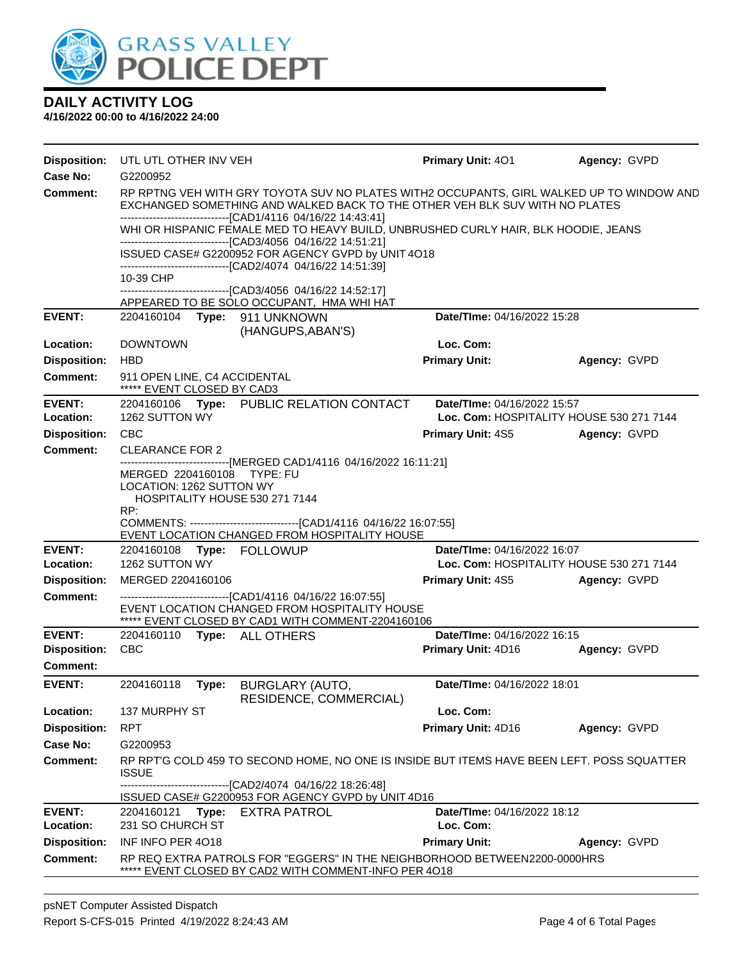

| <b>Disposition:</b> | UTL UTL OTHER INV VEH                                                                                                                                                                                                                   | Primary Unit: 401           | Agency: GVPD                             |  |  |  |
|---------------------|-----------------------------------------------------------------------------------------------------------------------------------------------------------------------------------------------------------------------------------------|-----------------------------|------------------------------------------|--|--|--|
| <b>Case No:</b>     | G2200952                                                                                                                                                                                                                                |                             |                                          |  |  |  |
| Comment:            | RP RPTNG VEH WITH GRY TOYOTA SUV NO PLATES WITH2 OCCUPANTS, GIRL WALKED UP TO WINDOW AND<br>EXCHANGED SOMETHING AND WALKED BACK TO THE OTHER VEH BLK SUV WITH NO PLATES<br>-------------------------------[CAD1/4116 04/16/22 14:43:41] |                             |                                          |  |  |  |
|                     | WHI OR HISPANIC FEMALE MED TO HEAVY BUILD, UNBRUSHED CURLY HAIR, BLK HOODIE, JEANS<br>-------------------------------[CAD3/4056 04/16/22 14:51:21]                                                                                      |                             |                                          |  |  |  |
|                     | ISSUED CASE# G2200952 FOR AGENCY GVPD by UNIT 4O18<br>-------------------------------[CAD2/4074 04/16/22 14:51:39]                                                                                                                      |                             |                                          |  |  |  |
|                     | 10-39 CHP                                                                                                                                                                                                                               |                             |                                          |  |  |  |
|                     | ------------------[CAD3/4056_04/16/22 14:52:17]<br>APPEARED TO BE SOLO OCCUPANT, HMA WHI HAT                                                                                                                                            |                             |                                          |  |  |  |
| <b>EVENT:</b>       | 2204160104<br>Type:<br>911 UNKNOWN<br>(HANGUPS, ABAN'S)                                                                                                                                                                                 | Date/TIme: 04/16/2022 15:28 |                                          |  |  |  |
| Location:           | <b>DOWNTOWN</b>                                                                                                                                                                                                                         | Loc. Com:                   |                                          |  |  |  |
| <b>Disposition:</b> | <b>HBD</b>                                                                                                                                                                                                                              | <b>Primary Unit:</b>        | Agency: GVPD                             |  |  |  |
| Comment:            | 911 OPEN LINE, C4 ACCIDENTAL<br>***** EVENT CLOSED BY CAD3                                                                                                                                                                              |                             |                                          |  |  |  |
| <b>EVENT:</b>       | 2204160106 Type: PUBLIC RELATION CONTACT                                                                                                                                                                                                | Date/TIme: 04/16/2022 15:57 |                                          |  |  |  |
| Location:           | 1262 SUTTON WY                                                                                                                                                                                                                          |                             | Loc. Com: HOSPITALITY HOUSE 530 271 7144 |  |  |  |
| <b>Disposition:</b> | <b>CBC</b>                                                                                                                                                                                                                              | <b>Primary Unit: 4S5</b>    | Agency: GVPD                             |  |  |  |
| Comment:            | <b>CLEARANCE FOR 2</b><br>----------------------[MERGED CAD1/4116_04/16/2022 16:11:21]                                                                                                                                                  |                             |                                          |  |  |  |
|                     | MERGED 2204160108<br>TYPE: FU<br>LOCATION: 1262 SUTTON WY                                                                                                                                                                               |                             |                                          |  |  |  |
|                     | HOSPITALITY HOUSE 530 271 7144                                                                                                                                                                                                          |                             |                                          |  |  |  |
|                     | RP:                                                                                                                                                                                                                                     |                             |                                          |  |  |  |
|                     | EVENT LOCATION CHANGED FROM HOSPITALITY HOUSE                                                                                                                                                                                           |                             |                                          |  |  |  |
| <b>EVENT:</b>       | 2204160108 Type: FOLLOWUP                                                                                                                                                                                                               | Date/TIme: 04/16/2022 16:07 |                                          |  |  |  |
| Location:           | 1262 SUTTON WY                                                                                                                                                                                                                          |                             | Loc. Com: HOSPITALITY HOUSE 530 271 7144 |  |  |  |
| <b>Disposition:</b> | MERGED 2204160106                                                                                                                                                                                                                       | <b>Primary Unit: 4S5</b>    | Agency: GVPD                             |  |  |  |
| <b>Comment:</b>     | ------------------------------[CAD1/4116 04/16/22 16:07:55]<br>EVENT LOCATION CHANGED FROM HOSPITALITY HOUSE<br>***** EVENT CLOSED BY CAD1 WITH COMMENT-2204160106                                                                      |                             |                                          |  |  |  |
| <b>EVENT:</b>       | 2204160110<br>Type: ALL OTHERS                                                                                                                                                                                                          | Date/TIme: 04/16/2022 16:15 |                                          |  |  |  |
| <b>Disposition:</b> | <b>CBC</b>                                                                                                                                                                                                                              | Primary Unit: 4D16          | Agency: GVPD                             |  |  |  |
| <b>Comment:</b>     |                                                                                                                                                                                                                                         |                             |                                          |  |  |  |
| <b>EVENT:</b>       | 2204160118<br>Type:<br><b>BURGLARY (AUTO,</b><br>RESIDENCE, COMMERCIAL)                                                                                                                                                                 | Date/TIme: 04/16/2022 18:01 |                                          |  |  |  |
| Location:           | 137 MURPHY ST                                                                                                                                                                                                                           | Loc. Com:                   |                                          |  |  |  |
| <b>Disposition:</b> | <b>RPT</b>                                                                                                                                                                                                                              | Primary Unit: 4D16          | Agency: GVPD                             |  |  |  |
| Case No:            | G2200953                                                                                                                                                                                                                                |                             |                                          |  |  |  |
| Comment:            | RP RPTG COLD 459 TO SECOND HOME, NO ONE IS INSIDE BUT ITEMS HAVE BEEN LEFT. POSS SQUATTER<br><b>ISSUE</b>                                                                                                                               |                             |                                          |  |  |  |
|                     | -------------------------------[CAD2/4074 04/16/22 18:26:48]<br>ISSUED CASE# G2200953 FOR AGENCY GVPD by UNIT 4D16                                                                                                                      |                             |                                          |  |  |  |
| <b>EVENT:</b>       | Type: EXTRA PATROL<br>2204160121                                                                                                                                                                                                        | Date/TIme: 04/16/2022 18:12 |                                          |  |  |  |
| Location:           | Loc. Com:<br>231 SO CHURCH ST                                                                                                                                                                                                           |                             |                                          |  |  |  |
| <b>Disposition:</b> | INF INFO PER 4018                                                                                                                                                                                                                       | <b>Primary Unit:</b>        | Agency: GVPD                             |  |  |  |
| <b>Comment:</b>     | RP REQ EXTRA PATROLS FOR "EGGERS" IN THE NEIGHBORHOOD BETWEEN2200-0000HRS<br>***** EVENT CLOSED BY CAD2 WITH COMMENT-INFO PER 4018                                                                                                      |                             |                                          |  |  |  |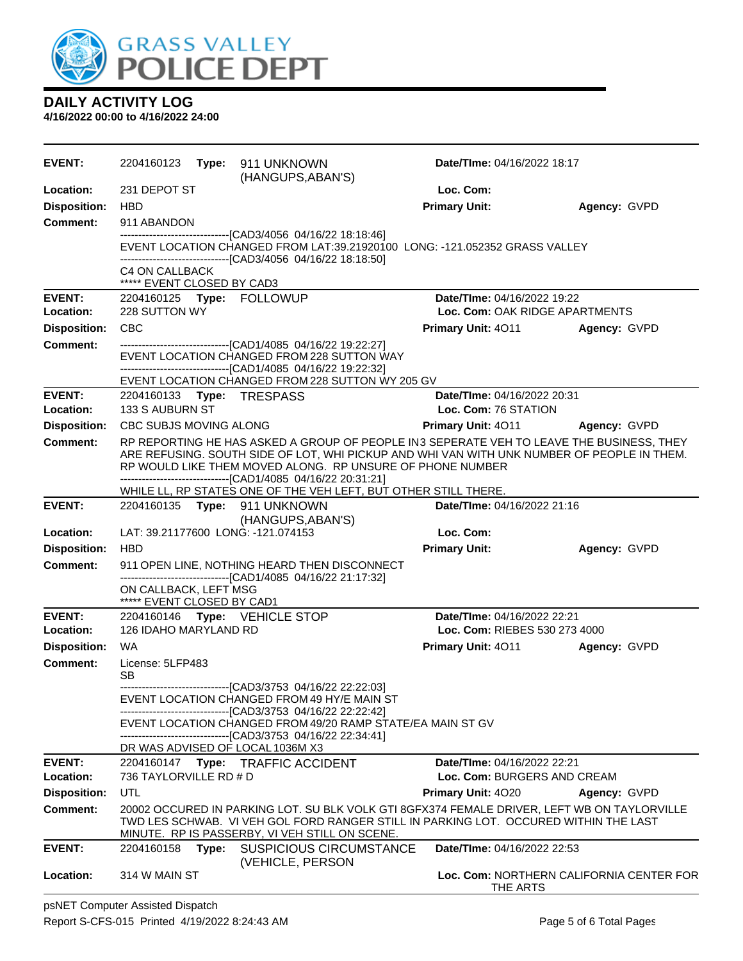

| <b>EVENT:</b>              | 2204160123 Type: 911 UNKNOWN                                                                                                                                                                                                                        | (HANGUPS, ABAN'S)                                                                                                                                                                                              | Date/TIme: 04/16/2022 18:17                                       |                                          |  |
|----------------------------|-----------------------------------------------------------------------------------------------------------------------------------------------------------------------------------------------------------------------------------------------------|----------------------------------------------------------------------------------------------------------------------------------------------------------------------------------------------------------------|-------------------------------------------------------------------|------------------------------------------|--|
| Location:                  | 231 DEPOT ST                                                                                                                                                                                                                                        |                                                                                                                                                                                                                | Loc. Com:                                                         |                                          |  |
| <b>Disposition:</b>        | HBD                                                                                                                                                                                                                                                 |                                                                                                                                                                                                                | <b>Primary Unit:</b>                                              | Agency: GVPD                             |  |
| <b>Comment:</b>            | 911 ABANDON                                                                                                                                                                                                                                         |                                                                                                                                                                                                                |                                                                   |                                          |  |
|                            |                                                                                                                                                                                                                                                     | ----------------------------------[CAD3/4056 04/16/22 18:18:46]<br>EVENT LOCATION CHANGED FROM LAT:39.21920100 LONG: -121.052352 GRASS VALLEY<br>--------------------------------[CAD3/4056 04/16/22 18:18:50] |                                                                   |                                          |  |
|                            | <b>C4 ON CALLBACK</b>                                                                                                                                                                                                                               |                                                                                                                                                                                                                |                                                                   |                                          |  |
|                            | ***** EVENT CLOSED BY CAD3                                                                                                                                                                                                                          |                                                                                                                                                                                                                | Date/TIme: 04/16/2022 19:22                                       |                                          |  |
| <b>EVENT:</b><br>Location: | 2204160125 Type: FOLLOWUP<br>228 SUTTON WY                                                                                                                                                                                                          |                                                                                                                                                                                                                | Loc. Com: OAK RIDGE APARTMENTS                                    |                                          |  |
| <b>Disposition:</b>        | <b>CBC</b>                                                                                                                                                                                                                                          |                                                                                                                                                                                                                | Primary Unit: 4011 Agency: GVPD                                   |                                          |  |
| <b>Comment:</b>            |                                                                                                                                                                                                                                                     | -------------------------------[CAD1/4085 04/16/22 19:22:27]                                                                                                                                                   |                                                                   |                                          |  |
|                            |                                                                                                                                                                                                                                                     | EVENT LOCATION CHANGED FROM 228 SUTTON WAY<br>-------------------------------[CAD1/4085 04/16/22 19:22:32]                                                                                                     |                                                                   |                                          |  |
|                            |                                                                                                                                                                                                                                                     | EVENT LOCATION CHANGED FROM 228 SUTTON WY 205 GV                                                                                                                                                               |                                                                   |                                          |  |
| <b>EVENT:</b><br>Location: | 2204160133 Type: TRESPASS<br>133 S AUBURN ST                                                                                                                                                                                                        |                                                                                                                                                                                                                | Date/TIme: 04/16/2022 20:31<br>Loc. Com: 76 STATION               |                                          |  |
| <b>Disposition:</b>        | CBC SUBJS MOVING ALONG                                                                                                                                                                                                                              |                                                                                                                                                                                                                | <b>Primary Unit: 4011</b>                                         | Agency: GVPD                             |  |
| Comment:                   | RP REPORTING HE HAS ASKED A GROUP OF PEOPLE IN3 SEPERATE VEH TO LEAVE THE BUSINESS, THEY<br>ARE REFUSING. SOUTH SIDE OF LOT, WHI PICKUP AND WHI VAN WITH UNK NUMBER OF PEOPLE IN THEM.<br>RP WOULD LIKE THEM MOVED ALONG. RP UNSURE OF PHONE NUMBER |                                                                                                                                                                                                                |                                                                   |                                          |  |
|                            |                                                                                                                                                                                                                                                     | -------------------------------[CAD1/4085 04/16/22 20:31:21]<br>WHILE LL, RP STATES ONE OF THE VEH LEFT, BUT OTHER STILL THERE.                                                                                |                                                                   |                                          |  |
| <b>EVENT:</b>              | 2204160135    Type: 911    UNKNOWN                                                                                                                                                                                                                  | (HANGUPS, ABAN'S)                                                                                                                                                                                              | Date/TIme: 04/16/2022 21:16                                       |                                          |  |
| Location:                  | LAT: 39.21177600 LONG: -121.074153                                                                                                                                                                                                                  |                                                                                                                                                                                                                | Loc. Com:                                                         |                                          |  |
| <b>Disposition:</b>        | <b>HBD</b>                                                                                                                                                                                                                                          |                                                                                                                                                                                                                | <b>Primary Unit:</b>                                              | Agency: GVPD                             |  |
| <b>Comment:</b>            |                                                                                                                                                                                                                                                     | 911 OPEN LINE, NOTHING HEARD THEN DISCONNECT<br>-------------------------------[CAD1/4085 04/16/22 21:17:32]                                                                                                   |                                                                   |                                          |  |
|                            | ON CALLBACK, LEFT MSG<br>***** EVENT CLOSED BY CAD1                                                                                                                                                                                                 |                                                                                                                                                                                                                |                                                                   |                                          |  |
| <b>EVENT:</b>              | 2204160146 Type: VEHICLE STOP                                                                                                                                                                                                                       |                                                                                                                                                                                                                | Date/TIme: 04/16/2022 22:21                                       |                                          |  |
| Location:                  | 126 IDAHO MARYLAND RD                                                                                                                                                                                                                               |                                                                                                                                                                                                                | Loc. Com: RIEBES 530 273 4000                                     |                                          |  |
| <b>Disposition:</b>        | <b>WA</b>                                                                                                                                                                                                                                           |                                                                                                                                                                                                                | <b>Primary Unit: 4011</b>                                         | Agency: GVPD                             |  |
| <b>Comment:</b>            | License: 5LFP483<br><b>SB</b>                                                                                                                                                                                                                       |                                                                                                                                                                                                                |                                                                   |                                          |  |
|                            |                                                                                                                                                                                                                                                     | --------------------------------[CAD3/3753 04/16/22 22:22:03]<br>EVENT LOCATION CHANGED FROM 49 HY/E MAIN ST<br>------------------------[CAD3/3753_04/16/22_22:22:42]                                          |                                                                   |                                          |  |
|                            |                                                                                                                                                                                                                                                     | EVENT LOCATION CHANGED FROM 49/20 RAMP STATE/EA MAIN ST GV<br>--------------------------------[CAD3/3753 04/16/22 22:34:41]                                                                                    |                                                                   |                                          |  |
|                            | DR WAS ADVISED OF LOCAL 1036M X3                                                                                                                                                                                                                    |                                                                                                                                                                                                                |                                                                   |                                          |  |
| <b>EVENT:</b><br>Location: | 736 TAYLORVILLE RD # D                                                                                                                                                                                                                              | 2204160147 Type: TRAFFIC ACCIDENT                                                                                                                                                                              | <b>Date/Time: 04/16/2022 22:21</b><br>Loc. Com: BURGERS AND CREAM |                                          |  |
| <b>Disposition:</b>        | UTL                                                                                                                                                                                                                                                 |                                                                                                                                                                                                                |                                                                   |                                          |  |
| <b>Comment:</b>            |                                                                                                                                                                                                                                                     | 20002 OCCURED IN PARKING LOT. SU BLK VOLK GTI 8GFX374 FEMALE DRIVER, LEFT WB ON TAYLORVILLE                                                                                                                    | <b>Primary Unit: 4020</b>                                         | Agency: GVPD                             |  |
|                            |                                                                                                                                                                                                                                                     | TWD LES SCHWAB. VI VEH GOL FORD RANGER STILL IN PARKING LOT. OCCURED WITHIN THE LAST<br>MINUTE. RP IS PASSERBY, VI VEH STILL ON SCENE.                                                                         |                                                                   |                                          |  |
| <b>EVENT:</b>              | 2204160158 Type:                                                                                                                                                                                                                                    | <b>SUSPICIOUS CIRCUMSTANCE</b><br>(VEHICLE, PERSON                                                                                                                                                             | Date/TIme: 04/16/2022 22:53                                       |                                          |  |
| Location:                  | 314 W MAIN ST                                                                                                                                                                                                                                       |                                                                                                                                                                                                                | THE ARTS                                                          | Loc. Com: NORTHERN CALIFORNIA CENTER FOR |  |